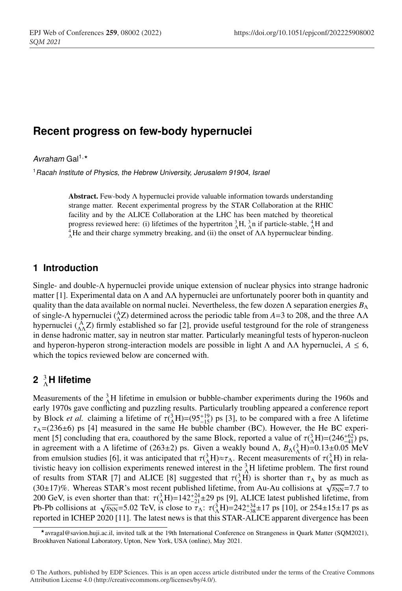### **Recent progress on few-body hypernuclei**

Avraham Gal<sup>1,\*</sup>

<sup>1</sup>*Racah Institute of Physics, the Hebrew University, Jerusalem 91904, Israel*

Abstract. Few-body Λ hypernuclei provide valuable information towards understanding strange matter. Recent experimental progress by the STAR Collaboration at the RHIC facility and by the ALICE Collaboration at the LHC has been matched by theoretical progress reviewed here: (i) lifetimes of the hypertriton  ${}^{3}_{\Lambda}H$ ,  ${}^{3}_{\Lambda}$  in if particle-stable,  ${}^{4}_{\Lambda}H$  and  ${}^{4}He$  and their charge symmetry breaking, and (ii) the onset of  $\Lambda\Lambda$  hyperpuclear hinding. <sup>4</sup><sub>Δ</sub>He and their charge symmetry breaking, and (ii) the onset of  $ΛΛ$  hypernuclear binding.

### **1 Introduction**

Single- and double-Λ hypernuclei provide unique extension of nuclear physics into strange hadronic matter [1]. Experimental data on  $\Lambda$  and  $\Lambda\Lambda$  hypernuclei are unfortunately poorer both in quantity and quality than the data available on normal nuclei. Nevertheless, the few dozen  $\Lambda$  separation energies  $B_\Lambda$ of single-Λ hypernuclei ( ${}_{\Lambda}^{A}Z$ ) determined across the periodic table from *A*=3 to 208, and the three ΛΛ hypernuclei  $({}_{\Lambda\Lambda}^{\Lambda}Z)$  firmly established so far [2], provide useful testground for the role of strangeness in dense hadronic matter, say in neutron star matter. Particularly meaningful tests of hyperon-nucleon and hyperon-hyperon strong-interaction models are possible in light  $\Lambda$  and  $\Lambda\Lambda$  hypernuclei,  $A \leq 6$ , which the topics reviewed below are concerned with.

# **2** <sup>3</sup> <sup>Λ</sup>**H lifetime**

Measurements of the  ${}^{3}_{\Lambda}$ H lifetime in emulsion or bubble-chamber experiments during the 1960s and early 1970s gave conflicting and puzzling results. Particularly troubling appeared a conference report by Block *et al.* claiming a lifetime of  $\tau$ ( $^{3}_{\Lambda}$ H)=(95<sup>+19</sup>) ps [3], to be compared with a free Λ lifetime  $\tau_{\Lambda}$ =(236±6) ps [4] measured in the same He bubble chamber (BC). However, the He BC experiment [5] concluding that era, coauthored by the same Block, reported a value of  $\tau({}^{3}_{\Lambda}H)=(246^{+62}_{-41})$  ps, in agreement with a  $\Lambda$  lifetime of (263±2) ps. Given a weakly bound  $\Lambda$ ,  $B_\Lambda(^3_\Lambda H) = 0.13 \pm 0.05$  MeV from emulsion studies [6], it was anticipated that  $\tau({}^3_\Lambda H)\approx \tau_\Lambda$ . Recent measurements of  $\tau({}^3_\Lambda H)$  in relativistic heavy ion collision experiments renewed interest in the  ${}^{3}_{\Lambda}$ H lifetime problem. The first round of results from STAR [7] and ALICE [8] suggested that  $\tau({}^3_A\text{H})$  is shorter than  $\tau_A$  by as much as (30±17)%. Whereas STAR's most recent published lifetime, from Au-Au collisions at  $\sqrt{s_{NN}}$ =7.7 to 200 GeV, is even shorter than that:  $\tau({}^3_1H)=142^{+24}_{-21}\pm 29$  ps [9], ALICE latest published lifetime, from Pb-Pb collisions at  $\sqrt{s_{NN}}$ =5.02 TeV, is close to  $\tau_{\Lambda}$ :  $\tau_{\Lambda}^{(3)}$ H)=242<sup>+34</sup>±17 ps [10], or 254±15±17 ps as reported in ICHEP 2020 [11]. The latest news is that this STAR-ALICE apparent divergence has been

avragal@savion.huji.ac.il, invited talk at the 19th International Conference on Strangeness in Quark Matter (SQM2021), Brookhaven National Laboratory, Upton, New York, USA (online), May 2021.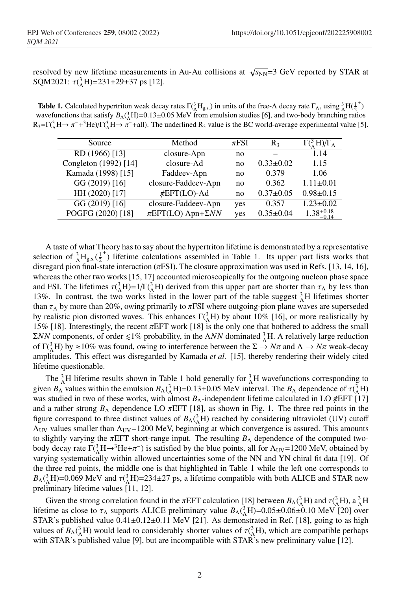resolved by new lifetime measurements in Au-Au collisions at  $\sqrt{s_{NN}}=3$  GeV reported by STAR at SQM2021:  $\tau({}^{3}_{\Lambda}H)$ =231±29±37 ps [12].

**Table 1.** Calculated hypertriton weak decay rates  $\Gamma(\Lambda^3 H_{gs})$  in units of the free- $\Lambda$  decay rate  $\Gamma_\Lambda$ , using  $\Lambda^3 H(\frac{1}{2})$  $^{\mathrm{+}}$ wavefunctions that satisfy  $B_\Lambda(^3_\Lambda H)$ =0.13±0.05 MeV from emulsion studies [6], and two-body branching ratios  $R_3 = \Gamma(\frac{3}{\Lambda}H \rightarrow \pi^- + \frac{3}{\Lambda}He)/\Gamma(\frac{3}{\Lambda}H \rightarrow \pi^- + \text{all}).$  The underlined  $R_3$  value is the BC world-average experimental value [5].

| Source                | Method                         | $\pi$ FSI | $R_3$           | $(\Lambda^3 H)/\Gamma_\Lambda$ |
|-----------------------|--------------------------------|-----------|-----------------|--------------------------------|
| RD (1966) [13]        | closure- $\Delta$ pn           | no        |                 | 1.14                           |
| Congleton (1992) [14] | $closure-Ad$                   | no        | $0.33 \pm 0.02$ | 1.15                           |
| Kamada (1998) [15]    | Faddeev-Apn                    | no        | 0.379           | 1.06                           |
| GG (2019) [16]        | closure-Faddeev-Apn            | no        | 0.362           | $1.11 \pm 0.01$                |
| HH (2020) [17]        | $\#EFT(LO)$ -Ad                | no        | $0.37 \pm 0.05$ | $0.98 \pm 0.15$                |
| GG (2019) [16]        | closure-Faddeev-Apn            | yes       | 0.357           | $1.23 \pm 0.02$                |
| POGFG (2020) [18]     | $\pi EFT(LO)$ Apn+ $\Sigma NN$ | yes       | $0.35 \pm 0.04$ | $1.38_{-0.14}^{+0.18}$         |
|                       |                                |           |                 |                                |

A taste of what Theory has to say about the hypertriton lifetime is demonstrated by a representative selection of  ${}^{3}_{\Lambda}H_{g.s.}({}^{1}_{2}$ <sup>+</sup>) lifetime calculations assembled in Table 1. Its upper part lists works that disregard pion final-state interaction ( $\pi$ FSI). The closure approximation was used in Refs. [13, 14, 16], whereas the other two works [15, 17] accounted microscopically for the outgoing nucleon phase space and FSI. The lifetimes  $\tau({}^3_\Lambda H)=1/\Gamma({}^3_\Lambda H)$  derived from this upper part are shorter than  $\tau_\Lambda$  by less than 13%. In contrast, the two works listed in the lower part of the table suggest  ${}_{\Lambda}^{3}H$  lifetimes shorter than  $\tau_{\Lambda}$  by more than 20%, owing primarily to  $\pi$ FSI where outgoing-pion plane waves are superseded by realistic pion distorted waves. This enhances  $\Gamma(\Lambda^3)$  by about 10% [16], or more realistically by 15% [18]. Interestingly, the recent  $\pi$ EFT work [18] is the only one that bothered to address the small  $ΣNN$  components, of order  $≤1%$  probability, in the Λ*NN* dominated  $^3_Λ$ H. A relatively large reduction of  $\Gamma(\Lambda^3)$  by  $\approx 10\%$  was found, owing to interference between the  $\Sigma \to N\pi$  and  $\Lambda \to N\pi$  weak-decay amplitudes. This effect was disregarded by Kamada *et al.* [15], thereby rendering their widely cited lifetime questionable.

The  ${}_{\Lambda}^{3}$ H lifetime results shown in Table 1 hold generally for  ${}_{\Lambda}^{3}$ H wavefunctions corresponding to given  $B_\Lambda$  values within the emulsion  $B_\Lambda(^3_\Lambda H)$ =0.13±0.05 MeV interval. The  $B_\Lambda$  dependence of  $\tau(^3_\Lambda H)$ was studied in two of these works, with almost  $B_\Lambda$ -independent lifetime calculated in LO *π*EFT [17] and a rather strong  $B_\Lambda$  dependence LO  $\pi$ EFT [18], as shown in Fig. 1. The three red points in the figure correspond to three distinct values of  $B_\Lambda({}^3_\Lambda H)$  reached by considering ultraviolet (UV) cutoff  $\Lambda_{UV}$  values smaller than  $\Lambda_{UV}$ =1200 MeV, beginning at which convergence is assured. This amounts to slightly varying the  $\pi$ EFT short-range input. The resulting  $B_\Lambda$  dependence of the computed twobody decay rate  $\Gamma(\frac{3}{4}H \rightarrow 3He + \pi^-)$  is satisfied by the blue points, all for  $\Lambda_{UV}$ =1200 MeV, obtained by varying systematically within allowed uncertainties some of the NN and YN chiral fit data [19]. Of the three red points, the middle one is that highlighted in Table 1 while the left one corresponds to  $B_\Lambda(^3_\Lambda H)$ =0.069 MeV and  $\tau(^3_\Lambda H)$ =234±27 ps, a lifetime compatible with both ALICE and STAR new preliminary lifetime values [11, 12].

Given the strong correlation found in the  $\pi$ EFT calculation [18] between  $B_\Lambda(^3_\Lambda H)$  and  $\tau(^3_\Lambda H)$ , a  $^3_\Lambda H$ lifetime as close to  $\tau_{\Lambda}$  supports ALICE preliminary value  $B_{\Lambda}({}^{3}_{\Lambda}H)$ =0.05±0.06±0.10 MeV [20] over STAR's published value  $0.41 \pm 0.12 \pm 0.11$  MeV [21]. As demonstrated in Ref. [18], going to as high values of  $B_\Lambda({}^3_\Lambda H)$  would lead to considerably shorter values of  $\tau({}^3_\Lambda H)$ , which are compatible perhaps with STAR's published value [9], but are incompatible with STAR's new preliminary value [12].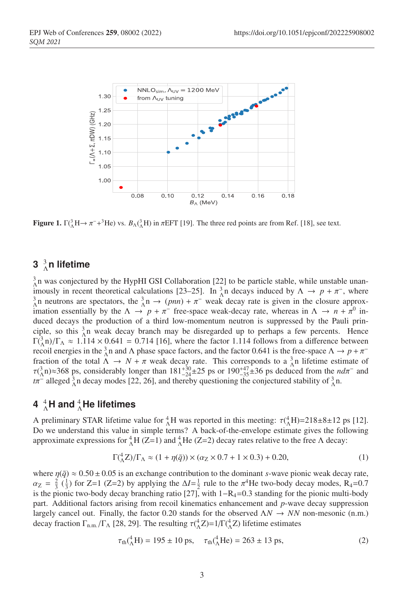

Figure 1.  $\Gamma(\Lambda^3 H \to \pi^- + ^3He)$  vs.  $B_\Lambda(\Lambda^3 H)$  in  $\pi EFT$  [19]. The three red points are from Ref. [18], see text.

## **3** <sup>3</sup> <sup>Λ</sup>**n lifetime**

 $^{3}_{\Lambda}$ n was conjectured by the HypHI GSI Collaboration [22] to be particle stable, while unstable unanimously in recent theoretical calculations [23–25]. In  $^3_\Lambda$ n decays induced by  $\Lambda \to p + \pi^-$ , where  $\lambda_{\Lambda}^3$ n neutrons are spectators, the  $\lambda_{\Lambda}^3$ n →  $(pnn) + \pi^-$  weak decay rate is given in the closure approximation essentially by the  $\Lambda \to p + \pi^-$  free-space weak-decay rate, whereas in  $\Lambda \to n + \pi^0$  induced decays the production of a third low-momentum neutron is suppressed by the Pauli principle, so this  $\frac{3}{4}n$  weak decay branch may be disregarded up to perhaps a few percents. Hence  $\Gamma(\substack{3 \\ \Lambda} n)/\Gamma_{\Lambda} \approx 1.114 \times 0.641 = 0.714$  [16], where the factor 1.114 follows from a difference between recoil energies in the  $\frac{3}{\Lambda}$ n and  $\Lambda$  phase space factors, and the factor 0.641 is the free-space  $\Lambda \to p + \pi^$ fraction of the total  $\Lambda \to N + \pi$  weak decay rate. This corresponds to a  $^{3}_{\Lambda}$ n lifetime estimate of  $\tau$ ( $^{3}_{\Lambda}$ n)≈368 ps, considerably longer than 181<sup>+30</sup><sup>+2</sup>25 ps or 190<sup>+47</sup><sub>-35</sub>±36 ps deduced from the *ndπ*<sup>−</sup> and  $t\pi^-$  alleged  ${}^3_\Lambda$ n decay modes [22, 26], and thereby questioning the conjectured stability of  ${}^3_\Lambda$ n.

## **4** <sup>4</sup> <sup>Λ</sup>**H and** <sup>4</sup> <sup>Λ</sup>**He lifetimes**

A preliminary STAR lifetime value for  ${}^{4}_{\Lambda}H$  was reported in this meeting:  $\tau({}^{4}_{\Lambda}H)$ =218±8±12 ps [12]. Do we understand this value in simple terms? A back-of-the-envelope estimate gives the following approximate expressions for  ${}_{\Lambda}^{4}H(Z=1)$  and  ${}_{\Lambda}^{4}He(Z=2)$  decay rates relative to the free  $\Lambda$  decay:

$$
\Gamma(^4_{\Lambda}Z)/\Gamma_{\Lambda} \approx (1 + \eta(\bar{q})) \times (\alpha_Z \times 0.7 + 1 \times 0.3) + 0.20,
$$
\n(1)

where  $\eta(\bar{q}) \approx 0.50 \pm 0.05$  is an exchange contribution to the dominant *s*-wave pionic weak decay rate,  $\alpha_Z = \frac{2}{3}$  ( $\frac{1}{3}$ ) for Z=1 (Z=2) by applying the  $\Delta I = \frac{1}{2}$  rule to the  $\pi^4$ He two-body decay modes, R<sub>4</sub>=0.7 is the pionic two-body decay branching ratio [27], with  $1-R_4=0.3$  standing for the pionic multi-body part. Additional factors arising from recoil kinematics enhancement and *p*-wave decay suppression largely cancel out. Finally, the factor 0.20 stands for the observed  $\Lambda N \to NN$  non-mesonic (n.m.) decay fraction  $\Gamma_{n,m}$  /  $\Gamma_{\Lambda}$  [28, 29]. The resulting  $\tau({}_{\Lambda}^{4}Z)$ =1/ $\Gamma({}_{\Lambda}^{4}Z)$  lifetime estimates

$$
\tau_{\text{th}}(^{4}_{\Lambda}H) = 195 \pm 10 \text{ ps}, \quad \tau_{\text{th}}(^{4}_{\Lambda}He) = 263 \pm 13 \text{ ps}, \tag{2}
$$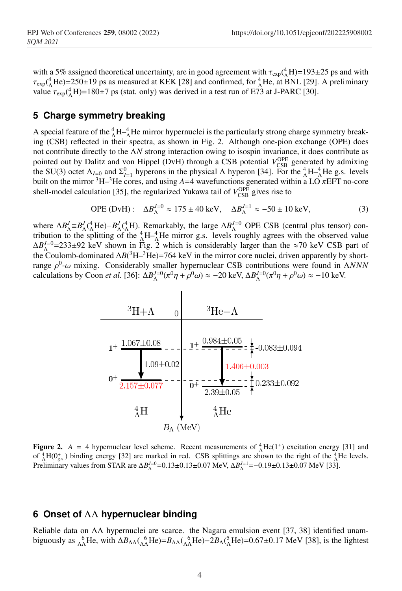with a 5% assigned theoretical uncertainty, are in good agreement with  $\tau_{\rm exp}(^4)H$ =193±25 ps and with  $\tau_{\rm exp}({}_{\Lambda}^4$ He)=250±19 ps as measured at KEK [28] and confirmed, for  ${}_{\Lambda}^4$ He, at BNL [29]. A preliminary value  $\tau_{\text{exp}}({}_{\Lambda}^{4}H)$ =180±7 ps (stat. only) was derived in a test run of E73 at J-PARC [30].

#### **5 Charge symmetry breaking**

A special feature of the  ${}^{4}_{\Lambda}H - {}^{4}_{\Lambda}H$ e mirror hypernuclei is the particularly strong charge symmetry breaking (CSB) reflected in their spectra, as shown in Fig. 2. Although one-pion exchange (OPE) does not contribute directly to the Λ*N* strong interaction owing to isospin invariance, it does contribute as pointed out by Dalitz and von Hippel (DvH) through a CSB potential  $V_{\text{CSB}}^{\text{OPE}}$  generated by admixing the SU(3) octet  $\Lambda_{I=0}$  and  $\Sigma_{I=1}^0$  hyperons in the physical  $\Lambda$  hyperon [34]. For the  ${}^4_\Lambda \text{H}{}^{-4}_\Lambda \text{He}$  g.s. levels built on the mirror <sup>3</sup>H–<sup>3</sup>He cores, and using  $A=4$  wavefunctions generated within a LO  $\pi$ EFT no-core shell-model calculation [35], the regularized Yukawa tail of  $V_{\text{CSB}}^{\text{OPE}}$  gives rise to

$$
OPE (DvH): \Delta B_{\Lambda}^{J=0} \approx 175 \pm 40 \text{ keV}, \quad \Delta B_{\Lambda}^{J=1} \approx -50 \pm 10 \text{ keV}, \tag{3}
$$

where  $\Delta B_{\Lambda}^J = B_{\Lambda}^J(\Lambda + 1) + B_{\Lambda}^J(\Lambda + 1)$ . Remarkably, the large  $\Delta B_{\Lambda}^{J=0}$  OPE CSB (central plus tensor) contribution to the splitting of the  ${}_{\Lambda}^{4}H_{\Lambda}^{-4}$ He mirror g.s. levels roughly agrees with the observed value  $\Delta B_{\Lambda}^{J=0}$ =233±92 keV shown in Fig. 2 which is considerably larger than the ≈70 keV CSB part of the Coulomb-dominated Δ*B*(<sup>3</sup>H–<sup>3</sup>He)=764 keV in the mirror core nuclei, driven apparently by shortrange ρ0-ω mixing. Considerably smaller hypernuclear CSB contributions were found in Λ*NNN* calculations by Coon *et al.* [36]:  $\Delta B_{\Lambda}^{J=0}(\pi^0 \eta + \rho^0 \omega) \approx -20 \text{ keV}, \Delta B_{\Lambda}^{J=0}(\pi^0 \eta + \rho^0 \omega) \approx -10 \text{ keV}.$ 



**Figure 2.**  $A = 4$  hypernuclear level scheme. Recent measurements of  $^{4}_{A}He(1^{+})$  excitation energy [31] and of  ${}_{\Lambda}^{4}H(0_{g.s.}^{+})$  binding energy [32] are marked in red. CSB splittings are shown to the right of the  ${}_{\Lambda}^{4}H$ e levels. Preliminary values from STAR are  $\Delta B_{\Lambda}^{J=0}$  = 0.13±0.13±0.07 MeV,  $\Delta B_{\Lambda}^{J=1}$  = −0.19±0.13±0.07 MeV [33].

### **6 Onset of** ΛΛ **hypernuclear binding**

Reliable data on ΛΛ hypernuclei are scarce. the Nagara emulsion event [37, 38] identified unambiguously as  $^{6}_{\Lambda\Lambda}$ He, with  $\Delta B_{\Lambda\Lambda}$ ( $^{6}_{\Lambda\Lambda}$ He)= $B_{\Lambda\Lambda}$ ( $^{6}_{\Lambda\Lambda}$ He)– $2B_{\Lambda}$ ( $^{5}_{\Lambda}$ He)=0.67±0.17 MeV [38], is the lightest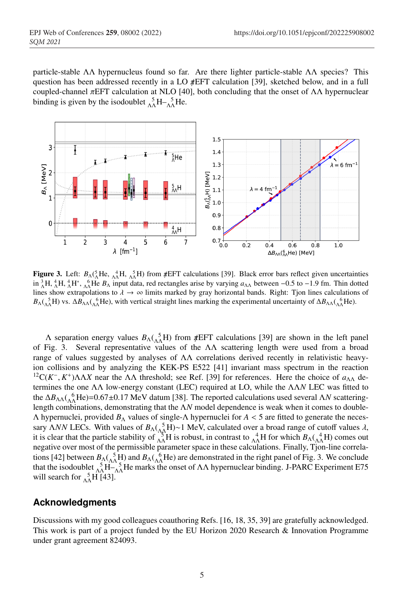particle-stable ΛΛ hypernucleus found so far. Are there lighter particle-stable ΛΛ species? This question has been addressed recently in a LO  $\#EFT$  calculation [39], sketched below, and in a full coupled-channel πEFT calculation at NLO [40], both concluding that the onset of ΛΛ hypernuclear binding is given by the isodoublet  ${}_{\Lambda\Lambda}^{5}H - {}_{\Lambda\Lambda}^{5}He$ .



Figure 3. Left:  $B_A(\Lambda_A^5$ He,  $A_A^4$ H,  $A_A^5$ H) from  $\#EFT$  calculations [39]. Black error bars reflect given uncertainties in  ${}_{\Lambda}^{3}H$ ,  ${}_{\Lambda}^{4}H$ ,  ${}_{\Lambda}^{4}H^{*}$ ,  ${}_{\Lambda\Lambda}^{6}$ He  $B_{\Lambda}$  input data, red rectangles arise by varying  $a_{\Lambda\Lambda}$  between -0.5 to -1.9 fm. Thin dotted lines show extrapolations to  $\lambda \to \infty$  limits marked by gray horizontal bands. Right: Tjon lines calculations of  $B_\Lambda(\Lambda_{\Lambda}^5 H)$  vs.  $\Delta B_{\Lambda\Lambda}(\Lambda_{\Lambda}^6 He)$ , with vertical straight lines marking the experimental uncertainty of  $\Delta B_{\Lambda\Lambda}(\Lambda_{\Lambda}^6 He)$ .

 $Λ$  separation energy values  $B<sub>Λ</sub>(<sub>ΛΛ</sub><sup>5</sup><sub>Λ</sub>H)$  from  $#EFT$  calculations [39] are shown in the left panel of Fig. 3. Several representative values of the ΛΛ scattering length were used from a broad range of values suggested by analyses of ΛΛ correlations derived recently in relativistic heavyion collisions and by analyzing the KEK-PS E522 [41] invariant mass spectrum in the reaction <sup>12</sup>C( $K^-$ ,  $K^+$ )ΛΛ*X* near the ΛΛ threshold; see Ref. [39] for references. Here the choice of  $a_{\Lambda\Lambda}$  determines the one ΛΛ low-energy constant (LEC) required at LO, while the ΛΛ*N* LEC was fitted to the ΔB<sub>ΛΛ</sub>( ${}^{6}_{0}$ He)=0.67±0.17 MeV datum [38]. The reported calculations used several Λ*N* scatteringlength combinations, demonstrating that the Λ*N* model dependence is weak when it comes to double-Λ hypernuclei, provided *B*<sup>Λ</sup> values of single-Λ hypernuclei for *A* < 5 are fitted to generate the necessary *ΛNN* LECs. With values of  $B_{\Lambda}({}_{\Lambda\Lambda}^{5}H)~1$  MeV, calculated over a broad range of cutoff values  $\lambda$ , it is clear that the particle stability of  $\frac{3}{\Lambda\Lambda}H$  is robust, in contrast to  $\frac{4}{\Lambda\Lambda}H$  for which  $B_\Lambda(\frac{4}{\Lambda\Lambda}H)$  comes out negative over most of the permissible parameter space in these calculations. Finally, Tjon-line correlations [42] between  $B_A$ ( $\Lambda_A^5$ H) and  $B_A$ ( $\Lambda_A^6$ He) are demonstrated in the right panel of Fig. 3. We conclude that the isodoublet  $\frac{5}{\Lambda\Lambda}H-\frac{5}{\Lambda\Lambda}$ He marks the onset of  $\Lambda\Lambda$  hypernuclear binding. J-PARC Experiment E75 will search for  $_{\Lambda\Lambda}^{5}$ H [43].

### **Acknowledgments**

Discussions with my good colleagues coauthoring Refs. [16, 18, 35, 39] are gratefully acknowledged. This work is part of a project funded by the EU Horizon 2020 Research & Innovation Programme under grant agreement 824093.